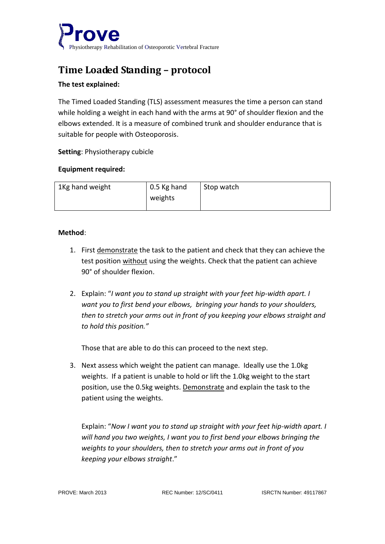

# **Time Loaded Standing – protocol**

### **The test explained:**

The Timed Loaded Standing (TLS) assessment measures the time a person can stand while holding a weight in each hand with the arms at 90° of shoulder flexion and the elbows extended. It is a measure of combined trunk and shoulder endurance that is suitable for people with Osteoporosis.

**Setting**: Physiotherapy cubicle

### **Equipment required:**

| 1Kg hand weight | $\,$ 0.5 Kg hand | Stop watch |
|-----------------|------------------|------------|
|                 | weights          |            |
|                 |                  |            |

#### **Method**:

- 1. First demonstrate the task to the patient and check that they can achieve the test position without using the weights. Check that the patient can achieve 90° of shoulder flexion.
- 2. Explain: "*I want you to stand up straight with your feet hip-width apart. I want you to first bend your elbows, bringing your hands to your shoulders, then to stretch your arms out in front of you keeping your elbows straight and to hold this position."*

Those that are able to do this can proceed to the next step.

3. Next assess which weight the patient can manage. Ideally use the 1.0kg weights. If a patient is unable to hold or lift the 1.0kg weight to the start position, use the 0.5kg weights. Demonstrate and explain the task to the patient using the weights.

Explain: "*Now I want you to stand up straight with your feet hip-width apart. I will hand you two weights, I want you to first bend your elbows bringing the weights to your shoulders, then to stretch your arms out in front of you keeping your elbows straight*."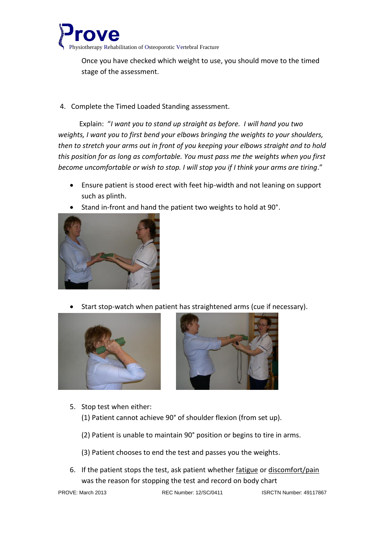

Once you have checked which weight to use, you should move to the timed stage of the assessment.

4. Complete the Timed Loaded Standing assessment.

 Explain: "*I want you to stand up straight as before. I will hand you two weights, I want you to first bend your elbows bringing the weights to your shoulders, then to stretch your arms out in front of you keeping your elbows straight and to hold this position for as long as comfortable. You must pass me the weights when you first become uncomfortable or wish to stop. I will stop you if I think your arms are tiring*."

- Ensure patient is stood erect with feet hip-width and not leaning on support such as plinth.
- Stand in-front and hand the patient two weights to hold at 90°.



Start stop-watch when patient has straightened arms (cue if necessary).





- 5. Stop test when either:
	- (1) Patient cannot achieve 90° of shoulder flexion (from set up).
	- (2) Patient is unable to maintain 90° position or begins to tire in arms.
	- (3) Patient chooses to end the test and passes you the weights.
- 6. If the patient stops the test, ask patient whether fatigue or discomfort/pain was the reason for stopping the test and record on body chart

PROVE: March 2013 REC Number: 12/SC/0411 ISRCTN Number: 49117867